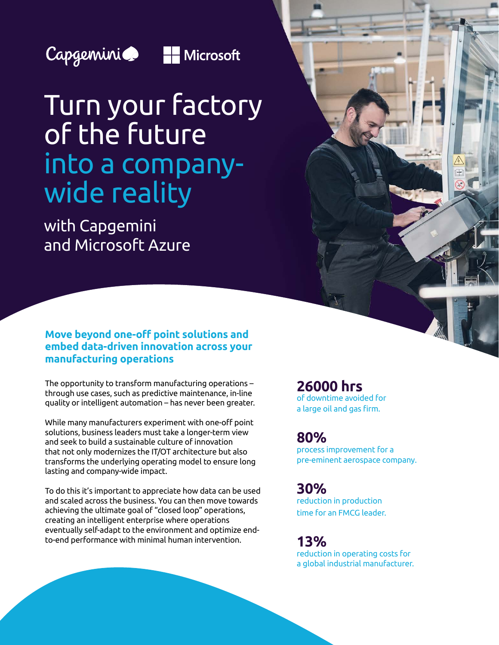



# Turn your factory of the future into a companywide reality

with Capgemini and Microsoft Azure

## **Move beyond one-off point solutions and embed data-driven innovation across your manufacturing operations**

The opportunity to transform manufacturing operations – through use cases, such as predictive maintenance, in-line quality or intelligent automation – has never been greater.

While many manufacturers experiment with one-off point solutions, business leaders must take a longer-term view and seek to build a sustainable culture of innovation that not only modernizes the IT/OT architecture but also transforms the underlying operating model to ensure long lasting and company-wide impact.

To do this it's important to appreciate how data can be used and scaled across the business. You can then move towards achieving the ultimate goal of "closed loop" operations, creating an intelligent enterprise where operations eventually self-adapt to the environment and optimize endto-end performance with minimal human intervention.

**26000 hrs** of downtime avoided for a large oil and gas firm.

## **80%**

process improvement for a pre-eminent aerospace company.

## **30%**

reduction in production time for an FMCG leader.

**13%** reduction in operating costs for a global industrial manufacturer.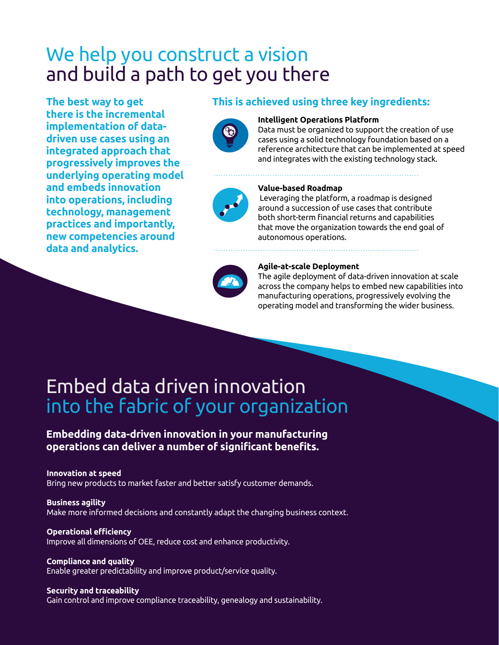## We help you construct a vision and build a path to get you there

**The best way to get there is the incremental implementation of datadriven use cases using an integrated approach that progressively improves the underlying operating model and embeds innovation into operations, including technology, management practices and importantly, new competencies around data and analytics.**

## **This is achieved using three key ingredients:**



### **Intelligent Operations Platform**

Data must be organized to support the creation of use cases using a solid technology foundation based on a reference architecture that can be implemented at speed and integrates with the existing technology stack.



#### **Value-based Roadmap**

 Leveraging the platform, a roadmap is designed around a succession of use cases that contribute both short-term financial returns and capabilities that move the organization towards the end goal of autonomous operations.



#### **Agile-at-scale Deployment**

The agile deployment of data-driven innovation at scale across the company helps to embed new capabilities into manufacturing operations, progressively evolving the operating model and transforming the wider business.

## Embed data driven innovation into the fabric of your organization

## **Embedding data-driven innovation in your manufacturing operations can deliver a number of significant benefits.**

#### **Innovation at speed**

Bring new products to market faster and better satisfy customer demands.

**Business agility** Make more informed decisions and constantly adapt the changing business context.

#### **Operational efficiency**

Improve all dimensions of OEE, reduce cost and enhance productivity.

**Compliance and quality** Enable greater predictability and improve product/service quality.

## **Security and traceability**

Gain control and improve compliance traceability, genealogy and sustainability.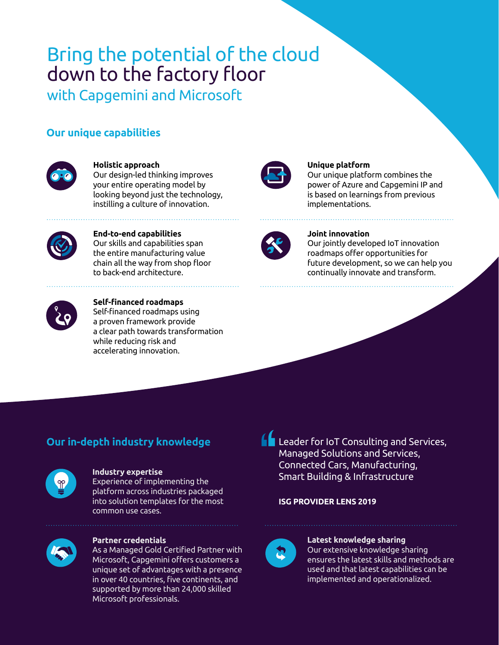## Bring the potential of the cloud down to the factory floor

with Capgemini and Microsoft

## **Our unique capabilities**



## **Holistic approach**

Our design-led thinking improves your entire operating model by looking beyond just the technology, instilling a culture of innovation.



## **Unique platform**

Our unique platform combines the power of Azure and Capgemini IP and is based on learnings from previous implementations.



#### **End-to-end capabilities** Our skills and capabilities span the entire manufacturing value chain all the way from shop floor to back-end architecture.



## **Joint innovation**

Our jointly developed IoT innovation roadmaps offer opportunities for future development, so we can help you continually innovate and transform.



#### **Self-financed roadmaps** Self-financed roadmaps using a proven framework provide a clear path towards transformation while reducing risk and accelerating innovation.

## **Our in-depth industry knowledge**



## **Industry expertise**

Experience of implementing the platform across industries packaged into solution templates for the most common use cases.



## **Partner credentials**

As a Managed Gold Certified Partner with Microsoft, Capgemini offers customers a unique set of advantages with a presence in over 40 countries, five continents, and supported by more than 24,000 skilled Microsoft professionals.

**Leader for IoT Consulting and Services,** Managed Solutions and Services, Connected Cars, Manufacturing, Smart Building & Infrastructure

## **ISG PROVIDER LENS 2019**



## **Latest knowledge sharing**

Our extensive knowledge sharing ensures the latest skills and methods are used and that latest capabilities can be implemented and operationalized.